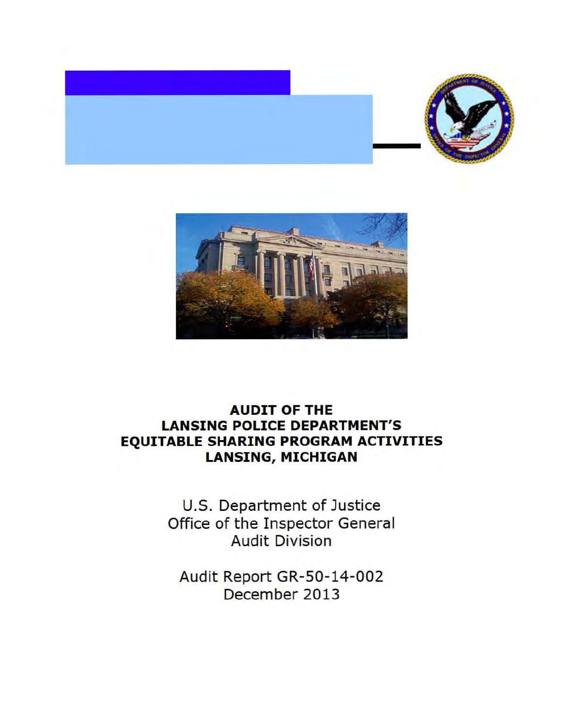



## **AUDIT OF THE LANSING POLICE DEPARTMENT'S EQUITABLE SHARING PROGRAM ACTIVITIES LANSING, MICHIGAN**

U.S. Department of Justice Office of the Inspector General Audit Division

Audit Report GR-SO-14-002 December 2013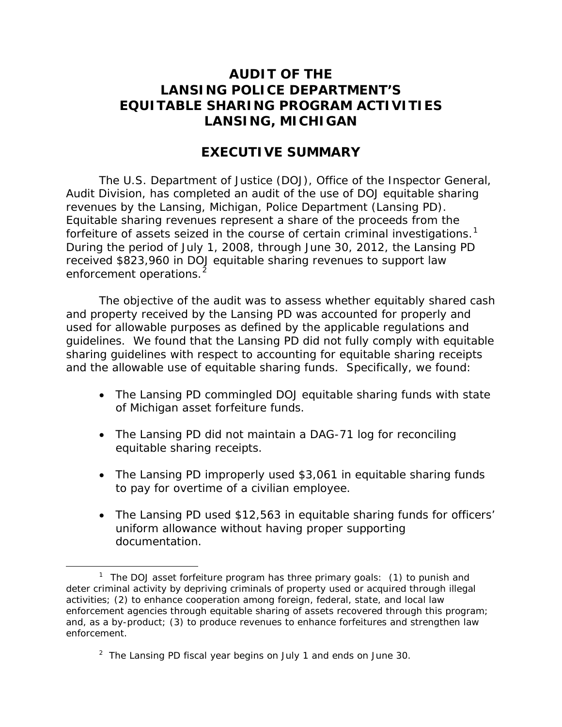### **LANSING POLICE DEPARTMENT'S LANSING, MICHIGAN AUDIT OF THE EQUITABLE SHARING PROGRAM ACTIVITIES**

### **EXECUTIVE SUMMARY**

 revenues by the Lansing, Michigan, Police Department (Lansing PD). forfeiture of assets seized in the course of certain criminal investigations.<sup>1</sup> The U.S. Department of Justice (DOJ), Office of the Inspector General, Audit Division, has completed an audit of the use of DOJ equitable sharing Equitable sharing revenues represent a share of the proceeds from the During the period of July 1, 2008, through June 30, 2012, the Lansing PD received \$823,960 in DOJ equitable sharing revenues to support law enforcement operations.<sup>2</sup>

 and property received by the Lansing PD was accounted for properly and guidelines. We found that the Lansing PD did not fully comply with equitable The objective of the audit was to assess whether equitably shared cash used for allowable purposes as defined by the applicable regulations and sharing guidelines with respect to accounting for equitable sharing receipts and the allowable use of equitable sharing funds. Specifically, we found:

- The Lansing PD commingled DOJ equitable sharing funds with state of Michigan asset forfeiture funds.
- The Lansing PD did not maintain a DAG-71 log for reconciling equitable sharing receipts.
- to pay for overtime of a civilian employee. • The Lansing PD improperly used \$3,061 in equitable sharing funds
- The Lansing PD used \$12,563 in equitable sharing funds for officers' uniform allowance without having proper supporting documentation.

<sup>-</sup><sup>1</sup> The DOJ asset forfeiture program has three primary goals: (1) to punish and deter criminal activity by depriving criminals of property used or acquired through illegal activities; (2) to enhance cooperation among foreign, federal, state, and local law enforcement agencies through equitable sharing of assets recovered through this program; and, as a by-product; (3) to produce revenues to enhance forfeitures and strengthen law enforcement.

 $2$  The Lansing PD fiscal year begins on July 1 and ends on June 30.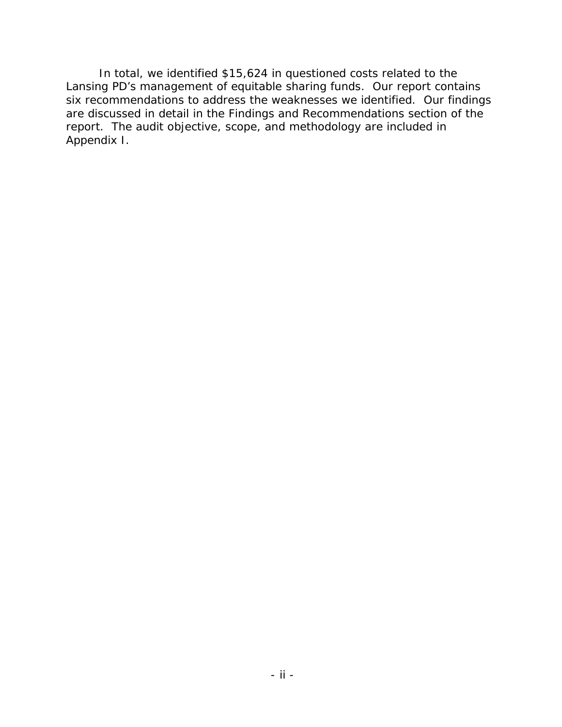Lansing PD's management of equitable sharing funds. Our report contains six recommendations to address the weaknesses we identified. Our findings are discussed in detail in the Findings and Recommendations section of the report. The audit objective, scope, and methodology are included in Appendix I. In total, we identified \$15,624 in questioned costs related to the Appendix I. - ii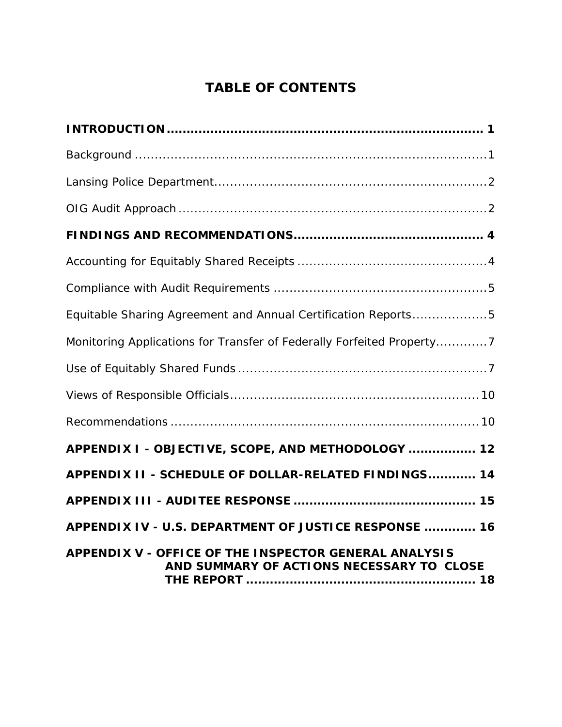# **TABLE OF CONTENTS**

| Equitable Sharing Agreement and Annual Certification Reports5                                      |
|----------------------------------------------------------------------------------------------------|
| Monitoring Applications for Transfer of Federally Forfeited Property7                              |
|                                                                                                    |
|                                                                                                    |
|                                                                                                    |
| APPENDIX I - OBJECTIVE, SCOPE, AND METHODOLOGY  12                                                 |
| APPENDIX II - SCHEDULE OF DOLLAR-RELATED FINDINGS 14                                               |
|                                                                                                    |
| APPENDIX IV - U.S. DEPARTMENT OF JUSTICE RESPONSE  16                                              |
| APPENDIX V - OFFICE OF THE INSPECTOR GENERAL ANALYSIS<br>AND SUMMARY OF ACTIONS NECESSARY TO CLOSE |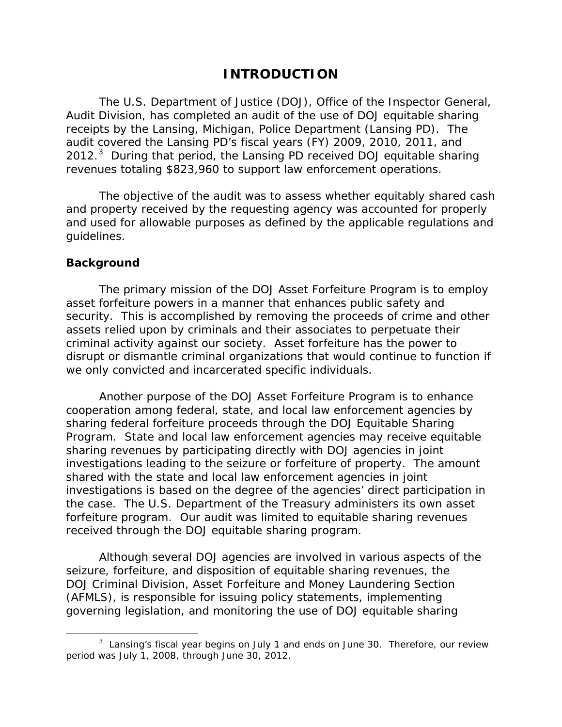### **INTRODUCTION**

 receipts by the Lansing, Michigan, Police Department (Lansing PD). The 2012. $3$  During that period, the Lansing PD received DOJ equitable sharing revenues totaling \$823,960 to support law enforcement operations. The U.S. Department of Justice (DOJ), Office of the Inspector General, Audit Division, has completed an audit of the use of DOJ equitable sharing audit covered the Lansing PD's fiscal years (FY) 2009, 2010, 2011, and

 guidelines. The objective of the audit was to assess whether equitably shared cash and property received by the requesting agency was accounted for properly and used for allowable purposes as defined by the applicable regulations and

#### **Background**

 $\overline{a}$ 

 The primary mission of the DOJ Asset Forfeiture Program is to employ we only convicted and incarcerated specific individuals. asset forfeiture powers in a manner that enhances public safety and security. This is accomplished by removing the proceeds of crime and other assets relied upon by criminals and their associates to perpetuate their criminal activity against our society. Asset forfeiture has the power to disrupt or dismantle criminal organizations that would continue to function if

we only convicted and incarcerated specific individuals.<br>Another purpose of the DOJ Asset Forfeiture Program is to enhance received through the DOJ equitable sharing program. cooperation among federal, state, and local law enforcement agencies by sharing federal forfeiture proceeds through the DOJ Equitable Sharing Program. State and local law enforcement agencies may receive equitable sharing revenues by participating directly with DOJ agencies in joint investigations leading to the seizure or forfeiture of property. The amount shared with the state and local law enforcement agencies in joint investigations is based on the degree of the agencies' direct participation in the case. The U.S. Department of the Treasury administers its own asset forfeiture program. Our audit was limited to equitable sharing revenues

Although several DOJ agencies are involved in various aspects of the seizure, forfeiture, and disposition of equitable sharing revenues, the DOJ Criminal Division, Asset Forfeiture and Money Laundering Section (AFMLS), is responsible for issuing policy statements, implementing governing legislation, and monitoring the use of DOJ equitable sharing

 $3$  Lansing's fiscal year begins on July 1 and ends on June 30. Therefore, our review period was July 1, 2008, through June 30, 2012.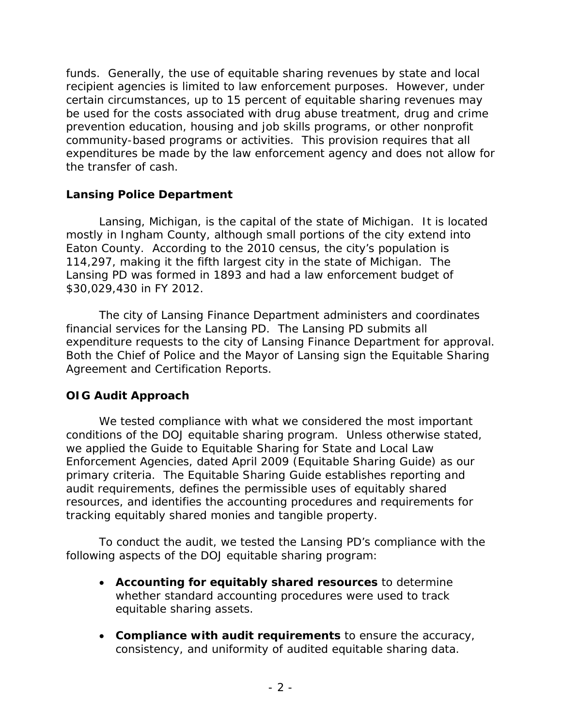certain circumstances, up to 15 percent of equitable sharing revenues may the transfer of cash. funds. Generally, the use of equitable sharing revenues by state and local recipient agencies is limited to law enforcement purposes. However, under be used for the costs associated with drug abuse treatment, drug and crime prevention education, housing and job skills programs, or other nonprofit community-based programs or activities. This provision requires that all expenditures be made by the law enforcement agency and does not allow for

#### **Lansing Police Department**

 Lansing, Michigan, is the capital of the state of Michigan. It is located Eaton County. According to the 2010 census, the city's population is 114,297, making it the fifth largest city in the state of Michigan. The Lansing PD was formed in 1893 and had a law enforcement budget of \$30,029,430 in FY 2012. mostly in Ingham County, although small portions of the city extend into

 financial services for the Lansing PD. The Lansing PD submits all expenditure requests to the city of Lansing Finance Department for approval. The city of Lansing Finance Department administers and coordinates Both the Chief of Police and the Mayor of Lansing sign the Equitable Sharing Agreement and Certification Reports.

### **OIG Audit Approach**

 primary criteria. The Equitable Sharing Guide establishes reporting and resources, and identifies the accounting procedures and requirements for tracking equitably shared monies and tangible property. We tested compliance with what we considered the most important conditions of the DOJ equitable sharing program. Unless otherwise stated, we applied the Guide to Equitable Sharing for State and Local Law Enforcement Agencies, dated April 2009 (Equitable Sharing Guide) as our audit requirements, defines the permissible uses of equitably shared

To conduct the audit, we tested the Lansing PD's compliance with the following aspects of the DOJ equitable sharing program:

- • **Accounting for equitably shared resources** to determine whether standard accounting procedures were used to track equitable sharing assets.
- consistency, and uniformity of audited equitable sharing data. • **Compliance with audit requirements** to ensure the accuracy,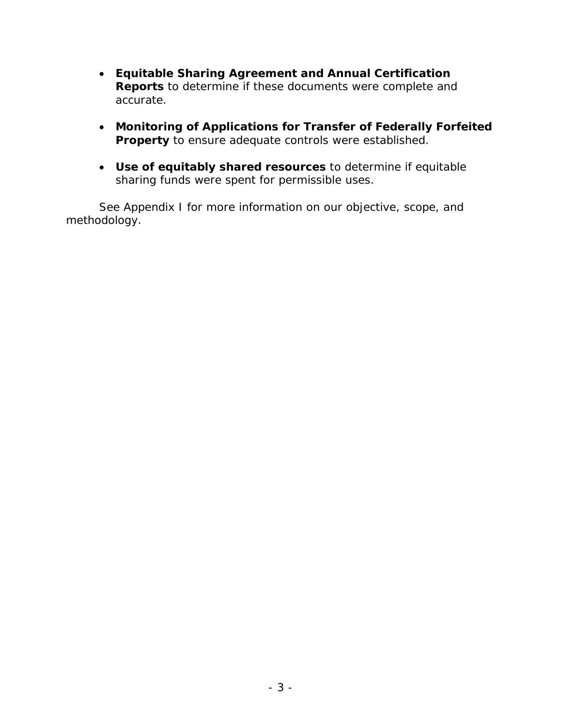- accurate. • **Equitable Sharing Agreement and Annual Certification Reports** to determine if these documents were complete and
- **Property** to ensure adequate controls were established. • **Monitoring of Applications for Transfer of Federally Forfeited**
- sharing funds were spent for permissible uses. • **Use of equitably shared resources** to determine if equitable

See Appendix I for more information on our objective, scope, and methodology.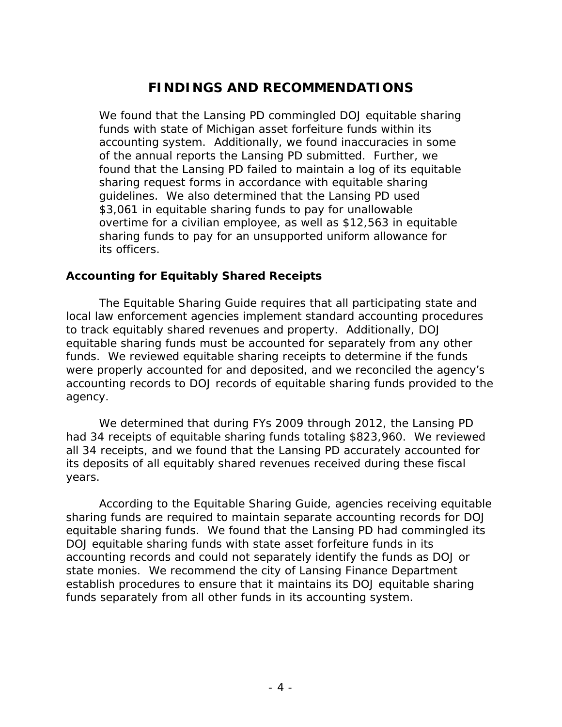## **FINDINGS AND RECOMMENDATIONS**

 funds with state of Michigan asset forfeiture funds within its accounting system. Additionally, we found inaccuracies in some of the annual reports the Lansing PD submitted. Further, we its officers. We found that the Lansing PD commingled DOJ equitable sharing found that the Lansing PD failed to maintain a log of its equitable sharing request forms in accordance with equitable sharing guidelines. We also determined that the Lansing PD used \$3,061 in equitable sharing funds to pay for unallowable overtime for a civilian employee, as well as \$12,563 in equitable sharing funds to pay for an unsupported uniform allowance for

#### **Accounting for Equitably Shared Receipts**

 to track equitably shared revenues and property. Additionally, DOJ agency. The Equitable Sharing Guide requires that all participating state and local law enforcement agencies implement standard accounting procedures equitable sharing funds must be accounted for separately from any other funds. We reviewed equitable sharing receipts to determine if the funds were properly accounted for and deposited, and we reconciled the agency's accounting records to DOJ records of equitable sharing funds provided to the

years. We determined that during FYs 2009 through 2012, the Lansing PD had 34 receipts of equitable sharing funds totaling \$823,960. We reviewed all 34 receipts, and we found that the Lansing PD accurately accounted for its deposits of all equitably shared revenues received during these fiscal

According to the Equitable Sharing Guide, agencies receiving equitable sharing funds are required to maintain separate accounting records for DOJ equitable sharing funds. We found that the Lansing PD had commingled its DOJ equitable sharing funds with state asset forfeiture funds in its accounting records and could not separately identify the funds as DOJ or state monies. We recommend the city of Lansing Finance Department establish procedures to ensure that it maintains its DOJ equitable sharing funds separately from all other funds in its accounting system.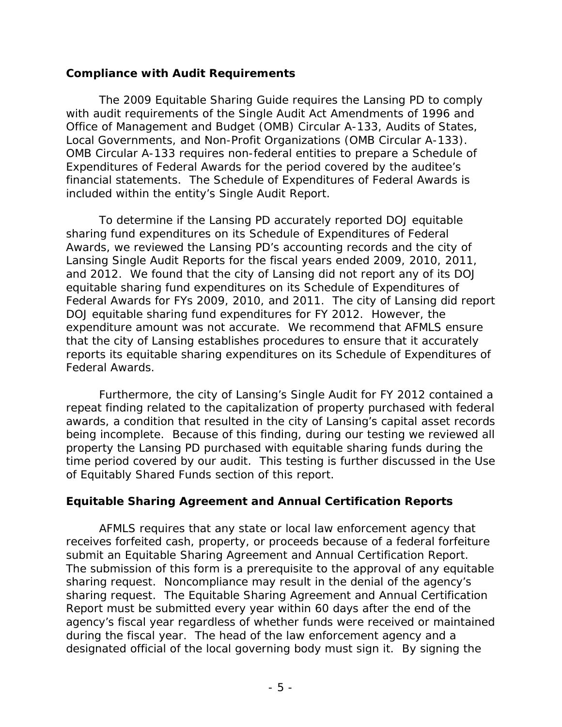#### **Compliance with Audit Requirements**

 Office of Management and Budget (OMB) Circular A-133, Audits of States, Local Governments, and Non-Profit Organizations (OMB Circular A-133). included within the entity's Single Audit Report. The 2009 Equitable Sharing Guide requires the Lansing PD to comply with audit requirements of the Single Audit Act Amendments of 1996 and OMB Circular A-133 requires non-federal entities to prepare a Schedule of Expenditures of Federal Awards for the period covered by the auditee's financial statements. The Schedule of Expenditures of Federal Awards is

 Awards, we reviewed the Lansing PD's accounting records and the city of Federal Awards for FYs 2009, 2010, and 2011. The city of Lansing did report DOJ equitable sharing fund expenditures for FY 2012. However, the expenditure amount was not accurate. We recommend that AFMLS ensure To determine if the Lansing PD accurately reported DOJ equitable sharing fund expenditures on its Schedule of Expenditures of Federal Lansing Single Audit Reports for the fiscal years ended 2009, 2010, 2011, and 2012. We found that the city of Lansing did not report any of its DOJ equitable sharing fund expenditures on its Schedule of Expenditures of that the city of Lansing establishes procedures to ensure that it accurately reports its equitable sharing expenditures on its Schedule of Expenditures of Federal Awards.

 time period covered by our audit. This testing is further discussed in the Use of Equitably Shared Funds section of this report. Furthermore, the city of Lansing's Single Audit for FY 2012 contained a repeat finding related to the capitalization of property purchased with federal awards, a condition that resulted in the city of Lansing's capital asset records being incomplete. Because of this finding, during our testing we reviewed all property the Lansing PD purchased with equitable sharing funds during the

### **Equitable Sharing Agreement and Annual Certification Reports**

 sharing request. The Equitable Sharing Agreement and Annual Certification during the fiscal year. The head of the law enforcement agency and a AFMLS requires that any state or local law enforcement agency that receives forfeited cash, property, or proceeds because of a federal forfeiture submit an Equitable Sharing Agreement and Annual Certification Report. The submission of this form is a prerequisite to the approval of any equitable sharing request. Noncompliance may result in the denial of the agency's Report must be submitted every year within 60 days after the end of the agency's fiscal year regardless of whether funds were received or maintained designated official of the local governing body must sign it. By signing the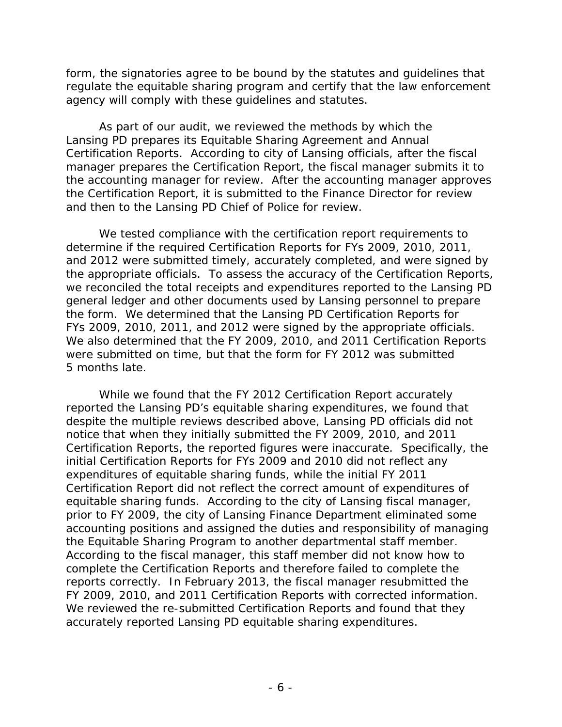form, the signatories agree to be bound by the statutes and guidelines that agency will comply with these guidelines and statutes. regulate the equitable sharing program and certify that the law enforcement

and then to the Lansing PD Chief of Police for review. As part of our audit, we reviewed the methods by which the Lansing PD prepares its Equitable Sharing Agreement and Annual Certification Reports. According to city of Lansing officials, after the fiscal manager prepares the Certification Report, the fiscal manager submits it to the accounting manager for review. After the accounting manager approves the Certification Report, it is submitted to the Finance Director for review

 and 2012 were submitted timely, accurately completed, and were signed by we reconciled the total receipts and expenditures reported to the Lansing PD the form. We determined that the Lansing PD Certification Reports for FYs 2009, 2010, 2011, and 2012 were signed by the appropriate officials. were submitted on time, but that the form for FY 2012 was submitted 5 months late. We tested compliance with the certification report requirements to determine if the required Certification Reports for FYs 2009, 2010, 2011, the appropriate officials. To assess the accuracy of the Certification Reports, general ledger and other documents used by Lansing personnel to prepare We also determined that the FY 2009, 2010, and 2011 Certification Reports.

 reported the Lansing PD's equitable sharing expenditures, we found that notice that when they initially submitted the FY 2009, 2010, and 2011 accounting positions and assigned the duties and responsibility of managing the Equitable Sharing Program to another departmental staff member. We reviewed the re-submitted Certification Reports and found that they While we found that the FY 2012 Certification Report accurately despite the multiple reviews described above, Lansing PD officials did not Certification Reports, the reported figures were inaccurate. Specifically, the initial Certification Reports for FYs 2009 and 2010 did not reflect any expenditures of equitable sharing funds, while the initial FY 2011 Certification Report did not reflect the correct amount of expenditures of equitable sharing funds. According to the city of Lansing fiscal manager, prior to FY 2009, the city of Lansing Finance Department eliminated some According to the fiscal manager, this staff member did not know how to complete the Certification Reports and therefore failed to complete the reports correctly. In February 2013, the fiscal manager resubmitted the FY 2009, 2010, and 2011 Certification Reports with corrected information. accurately reported Lansing PD equitable sharing expenditures.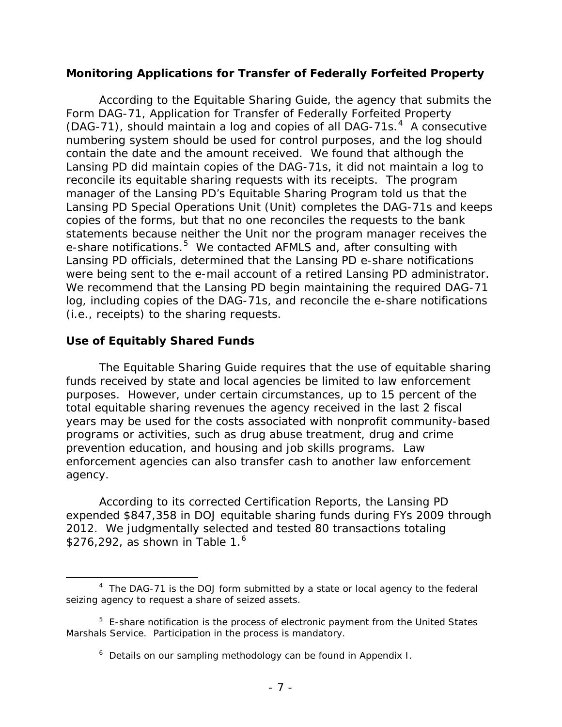#### **Monitoring Applications for Transfer of Federally Forfeited Property**

 (DAG-71), should maintain a log and copies of all DAG-71s. 4 A consecutive contain the date and the amount received. We found that although the Lansing PD did maintain copies of the DAG-71s, it did not maintain a log to reconcile its equitable sharing requests with its receipts. The program copies of the forms, but that no one reconciles the requests to the bank e-share notifications.<sup>5</sup> We contacted AFMLS and, after consulting with Lansing PD officials, determined that the Lansing PD e-share notifications were being sent to the e-mail account of a retired Lansing PD administrator. (i.e., receipts) to the sharing requests. According to the Equitable Sharing Guide, the agency that submits the Form DAG-71, Application for Transfer of Federally Forfeited Property numbering system should be used for control purposes, and the log should manager of the Lansing PD's Equitable Sharing Program told us that the Lansing PD Special Operations Unit (Unit) completes the DAG-71s and keeps statements because neither the Unit nor the program manager receives the We recommend that the Lansing PD begin maintaining the required DAG-71 log, including copies of the DAG-71s, and reconcile the e-share notifications

#### **Use of Equitably Shared Funds**

 The Equitable Sharing Guide requires that the use of equitable sharing agency. funds received by state and local agencies be limited to law enforcement purposes. However, under certain circumstances, up to 15 percent of the total equitable sharing revenues the agency received in the last 2 fiscal years may be used for the costs associated with nonprofit community-based programs or activities, such as drug abuse treatment, drug and crime prevention education, and housing and job skills programs. Law enforcement agencies can also transfer cash to another law enforcement

 agency. According to its corrected Certification Reports, the Lansing PD expended \$847,358 in DOJ equitable sharing funds during FYs 2009 through 2012. We judgmentally selected and tested 80 transactions totaling \$276,292, as shown in Table  $1<sup>6</sup>$ 

 $\overline{a}$  $4$  The DAG-71 is the DOJ form submitted by a state or local agency to the federal seizing agency to request a share of seized assets.

 $5$  E-share notification is the process of electronic payment from the United States Marshals Service. Participation in the process is mandatory.

 $6$  Details on our sampling methodology can be found in Appendix I.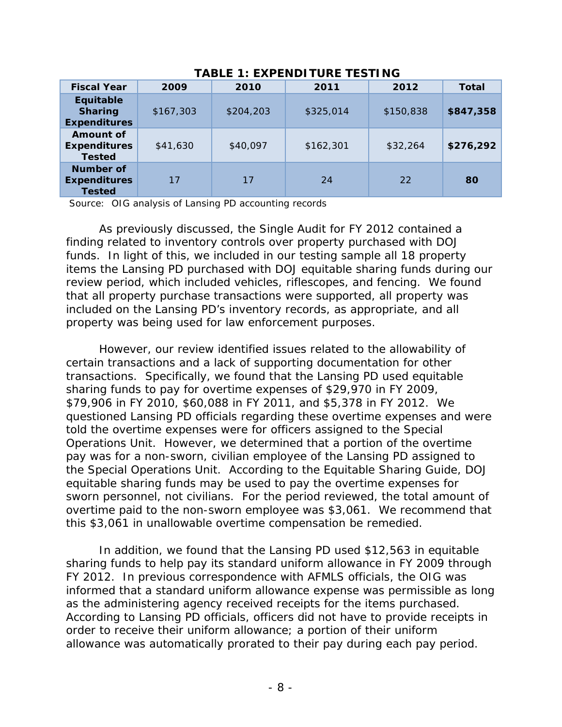| <b>Fiscal Year</b>                                 | 2009      | 2010      | 2011      | 2012      | Total     |
|----------------------------------------------------|-----------|-----------|-----------|-----------|-----------|
| Equitable<br><b>Sharing</b><br><b>Expenditures</b> | \$167,303 | \$204,203 | \$325,014 | \$150,838 | \$847,358 |
| Amount of<br><b>Expenditures</b><br><b>Tested</b>  | \$41,630  | \$40,097  | \$162,301 | \$32,264  | \$276,292 |
| Number of<br><b>Expenditures</b><br><b>Tested</b>  | 17        | 17        | 24        | 22        | 80        |

**TABLE 1: EXPENDITURE TESTING** 

Source: OIG analysis of Lansing PD accounting records

 funds. In light of this, we included in our testing sample all 18 property review period, which included vehicles, riflescopes, and fencing. We found As previously discussed, the Single Audit for FY 2012 contained a finding related to inventory controls over property purchased with DOJ items the Lansing PD purchased with DOJ equitable sharing funds during our that all property purchase transactions were supported, all property was included on the Lansing PD's inventory records, as appropriate, and all property was being used for law enforcement purposes.

 questioned Lansing PD officials regarding these overtime expenses and were Operations Unit. However, we determined that a portion of the overtime pay was for a non-sworn, civilian employee of the Lansing PD assigned to sworn personnel, not civilians. For the period reviewed, the total amount of overtime paid to the non-sworn employee was \$3,061. We recommend that However, our review identified issues related to the allowability of certain transactions and a lack of supporting documentation for other transactions. Specifically, we found that the Lansing PD used equitable sharing funds to pay for overtime expenses of \$29,970 in FY 2009, \$79,906 in FY 2010, \$60,088 in FY 2011, and \$5,378 in FY 2012. We told the overtime expenses were for officers assigned to the Special the Special Operations Unit. According to the Equitable Sharing Guide, DOJ equitable sharing funds may be used to pay the overtime expenses for this \$3,061 in unallowable overtime compensation be remedied.

 sharing funds to help pay its standard uniform allowance in FY 2009 through informed that a standard uniform allowance expense was permissible as long as the administering agency received receipts for the items purchased. In addition, we found that the Lansing PD used \$12,563 in equitable FY 2012. In previous correspondence with AFMLS officials, the OIG was According to Lansing PD officials, officers did not have to provide receipts in order to receive their uniform allowance; a portion of their uniform allowance was automatically prorated to their pay during each pay period.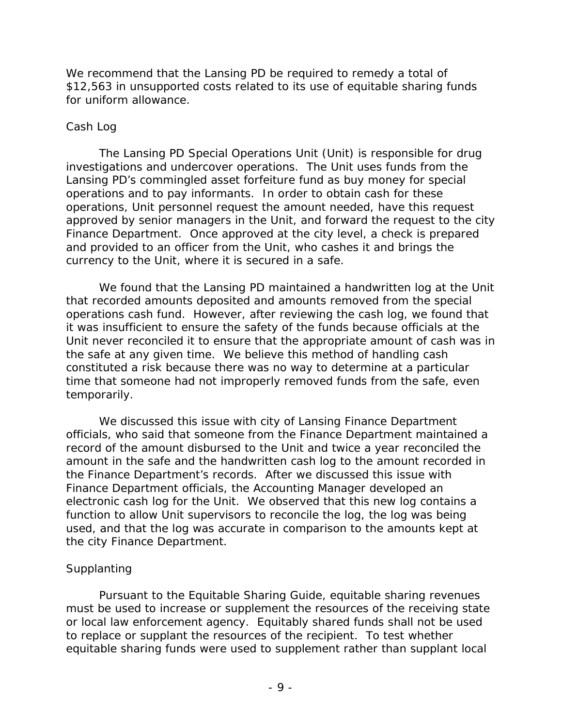We recommend that the Lansing PD be required to remedy a total of \$12,563 in unsupported costs related to its use of equitable sharing funds for uniform allowance.

#### *Cash Log*

 investigations and undercover operations. The Unit uses funds from the and provided to an officer from the Unit, who cashes it and brings the The Lansing PD Special Operations Unit (Unit) is responsible for drug Lansing PD's commingled asset forfeiture fund as buy money for special operations and to pay informants. In order to obtain cash for these operations, Unit personnel request the amount needed, have this request approved by senior managers in the Unit, and forward the request to the city Finance Department. Once approved at the city level, a check is prepared currency to the Unit, where it is secured in a safe.

 time that someone had not improperly removed funds from the safe, even We found that the Lansing PD maintained a handwritten log at the Unit that recorded amounts deposited and amounts removed from the special operations cash fund. However, after reviewing the cash log, we found that it was insufficient to ensure the safety of the funds because officials at the Unit never reconciled it to ensure that the appropriate amount of cash was in the safe at any given time. We believe this method of handling cash constituted a risk because there was no way to determine at a particular temporarily.

 record of the amount disbursed to the Unit and twice a year reconciled the the Finance Department's records. After we discussed this issue with We discussed this issue with city of Lansing Finance Department officials, who said that someone from the Finance Department maintained a amount in the safe and the handwritten cash log to the amount recorded in Finance Department officials, the Accounting Manager developed an electronic cash log for the Unit. We observed that this new log contains a function to allow Unit supervisors to reconcile the log, the log was being used, and that the log was accurate in comparison to the amounts kept at the city Finance Department.

#### *Supplanting*

Pursuant to the Equitable Sharing Guide, equitable sharing revenues must be used to increase or supplement the resources of the receiving state or local law enforcement agency. Equitably shared funds shall not be used to replace or supplant the resources of the recipient. To test whether equitable sharing funds were used to supplement rather than supplant local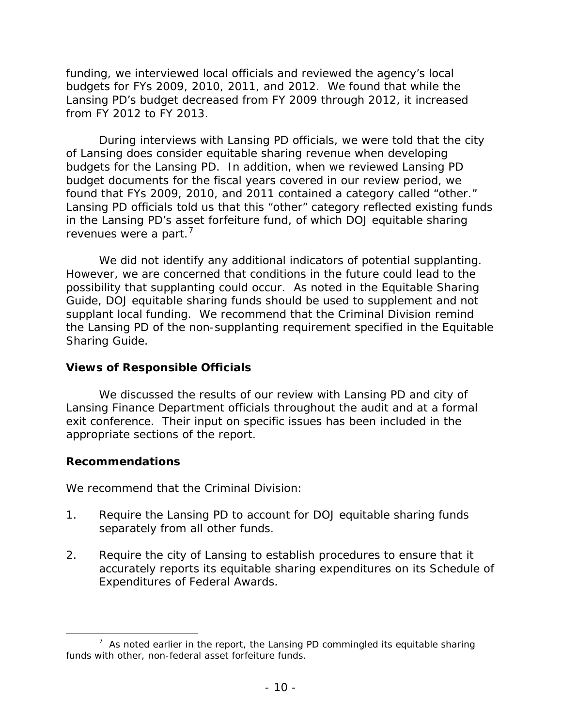budgets for FYs 2009, 2010, 2011, and 2012. We found that while the funding, we interviewed local officials and reviewed the agency's local Lansing PD's budget decreased from FY 2009 through 2012, it increased from FY 2012 to FY 2013.

found that FYs 2009, 2010, and 2011 contained a category called "other." revenues were a part.<sup>7</sup> During interviews with Lansing PD officials, we were told that the city of Lansing does consider equitable sharing revenue when developing budgets for the Lansing PD. In addition, when we reviewed Lansing PD budget documents for the fiscal years covered in our review period, we Lansing PD officials told us that this "other" category reflected existing funds in the Lansing PD's asset forfeiture fund, of which DOJ equitable sharing

 supplant local funding. We recommend that the Criminal Division remind Sharing Guide. We did not identify any additional indicators of potential supplanting. However, we are concerned that conditions in the future could lead to the possibility that supplanting could occur. As noted in the Equitable Sharing Guide, DOJ equitable sharing funds should be used to supplement and not the Lansing PD of the non-supplanting requirement specified in the Equitable

#### **Views of Responsible Officials**

 Lansing Finance Department officials throughout the audit and at a formal We discussed the results of our review with Lansing PD and city of exit conference. Their input on specific issues has been included in the appropriate sections of the report.

#### **Recommendations**

We recommend that the Criminal Division:

- 1. Require the Lansing PD to account for DOJ equitable sharing funds separately from all other funds.
- 2. Require the city of Lansing to establish procedures to ensure that it accurately reports its equitable sharing expenditures on its Schedule of Expenditures of Federal Awards.

 $\overline{a}$  $7$  As noted earlier in the report, the Lansing PD commingled its equitable sharing funds with other, non-federal asset forfeiture funds.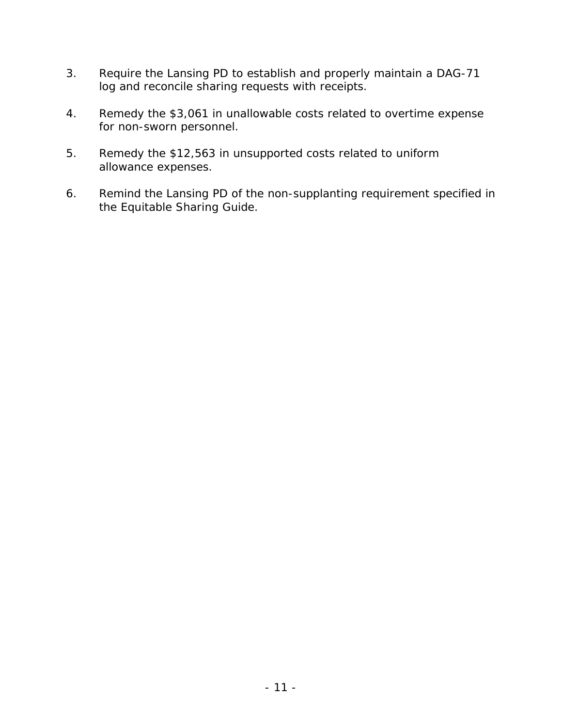- 3. Require the Lansing PD to establish and properly maintain a DAG-71 log and reconcile sharing requests with receipts.
- 4. Remedy the \$3,061 in unallowable costs related to overtime expense for non-sworn personnel.
- 5. Remedy the \$12,563 in unsupported costs related to uniform allowance expenses.
- 6. Remind the Lansing PD of the non-supplanting requirement specified in the Equitable Sharing Guide.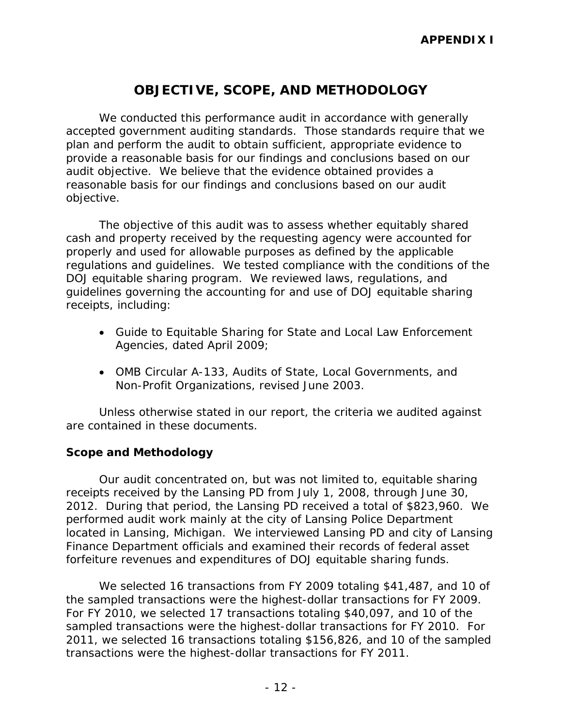## **OBJECTIVE, SCOPE, AND METHODOLOGY**

 reasonable basis for our findings and conclusions based on our audit objective. We conducted this performance audit in accordance with generally accepted government auditing standards. Those standards require that we plan and perform the audit to obtain sufficient, appropriate evidence to provide a reasonable basis for our findings and conclusions based on our audit objective. We believe that the evidence obtained provides a

objective.<br>The objective of this audit was to assess whether equitably shared regulations and guidelines. We tested compliance with the conditions of the cash and property received by the requesting agency were accounted for properly and used for allowable purposes as defined by the applicable DOJ equitable sharing program. We reviewed laws, regulations, and guidelines governing the accounting for and use of DOJ equitable sharing receipts, including:

- Agencies, dated April 2009; • Guide to Equitable Sharing for State and Local Law Enforcement
- Non-Profit Organizations, revised June 2003. • OMB Circular A-133, Audits of State, Local Governments, and

Unless otherwise stated in our report, the criteria we audited against are contained in these documents.

#### **Scope and Methodology**

 receipts received by the Lansing PD from July 1, 2008, through June 30, 2012. During that period, the Lansing PD received a total of \$823,960. We Our audit concentrated on, but was not limited to, equitable sharing performed audit work mainly at the city of Lansing Police Department located in Lansing, Michigan. We interviewed Lansing PD and city of Lansing Finance Department officials and examined their records of federal asset forfeiture revenues and expenditures of DOJ equitable sharing funds.

 the sampled transactions were the highest-dollar transactions for FY 2009. For FY 2010, we selected 17 transactions totaling \$40,097, and 10 of the transactions were the highest-dollar transactions for FY 2011. We selected 16 transactions from FY 2009 totaling \$41,487, and 10 of sampled transactions were the highest-dollar transactions for FY 2010. For 2011, we selected 16 transactions totaling \$156,826, and 10 of the sampled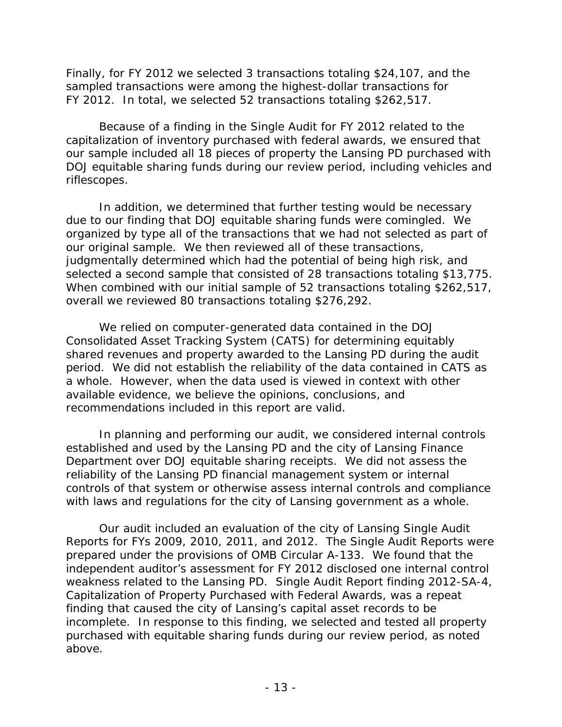Finally, for FY 2012 we selected 3 transactions totaling \$24,107, and the FY 2012. In total, we selected 52 transactions totaling \$262,517. sampled transactions were among the highest-dollar transactions for

Because of a finding in the Single Audit for FY 2012 related to the capitalization of inventory purchased with federal awards, we ensured that our sample included all 18 pieces of property the Lansing PD purchased with DOJ equitable sharing funds during our review period, including vehicles and riflescopes.

selected a second sample that consisted of 28 transactions totaling \$13,775. overall we reviewed 80 transactions totaling \$276,292. In addition, we determined that further testing would be necessary due to our finding that DOJ equitable sharing funds were comingled. We organized by type all of the transactions that we had not selected as part of our original sample. We then reviewed all of these transactions, judgmentally determined which had the potential of being high risk, and When combined with our initial sample of 52 transactions totaling \$262,517,

 overall we reviewed 80 transactions totaling \$276,292. We relied on computer-generated data contained in the DOJ recommendations included in this report are valid. Consolidated Asset Tracking System (CATS) for determining equitably shared revenues and property awarded to the Lansing PD during the audit period. We did not establish the reliability of the data contained in CATS as a whole. However, when the data used is viewed in context with other available evidence, we believe the opinions, conclusions, and

 established and used by the Lansing PD and the city of Lansing Finance In planning and performing our audit, we considered internal controls Department over DOJ equitable sharing receipts. We did not assess the reliability of the Lansing PD financial management system or internal controls of that system or otherwise assess internal controls and compliance

with laws and regulations for the city of Lansing government as a whole.<br>Our audit included an evaluation of the city of Lansing Single Audit Reports for FYs 2009, 2010, 2011, and 2012. The Single Audit Reports were prepared under the provisions of OMB Circular A-133. We found that the weakness related to the Lansing PD. Single Audit Report finding 2012-SA-4, purchased with equitable sharing funds during our review period, as noted above. independent auditor's assessment for FY 2012 disclosed one internal control Capitalization of Property Purchased with Federal Awards, was a repeat finding that caused the city of Lansing's capital asset records to be incomplete. In response to this finding, we selected and tested all property above.<br>- 13 -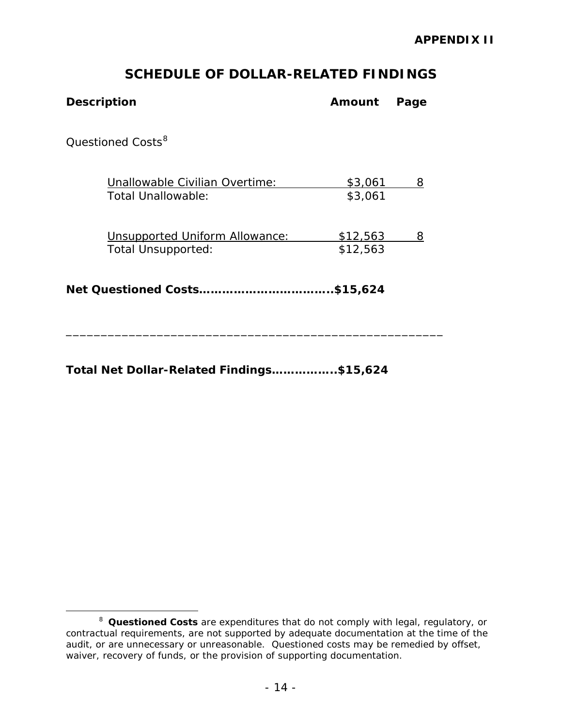### **SCHEDULE OF DOLLAR-RELATED FINDINGS**

| <b>Description</b>                                   | Amount               | Page |
|------------------------------------------------------|----------------------|------|
| Questioned Costs <sup>8</sup>                        |                      |      |
| Unallowable Civilian Overtime:<br>Total Unallowable: | \$3,061<br>\$3,061   | 8    |
| Unsupported Uniform Allowance:<br>Total Unsupported: | \$12,563<br>\$12,563 | 8    |
|                                                      | \$15,624.            |      |

\_\_\_\_\_\_\_\_\_\_\_\_\_\_\_\_\_\_\_\_\_\_\_\_\_\_\_\_\_\_\_\_\_\_\_\_\_\_\_\_\_\_\_\_\_\_\_\_\_\_\_\_\_\_

**Total Net Dollar-Related Findings……………..\$15,624** 

 $\overline{a}$ 

 <sup>8</sup>*Questioned Costs* are expenditures that do not comply with legal, regulatory, or contractual requirements, are not supported by adequate documentation at the time of the audit, or are unnecessary or unreasonable. Questioned costs may be remedied by offset, waiver, recovery of funds, or the provision of supporting documentation.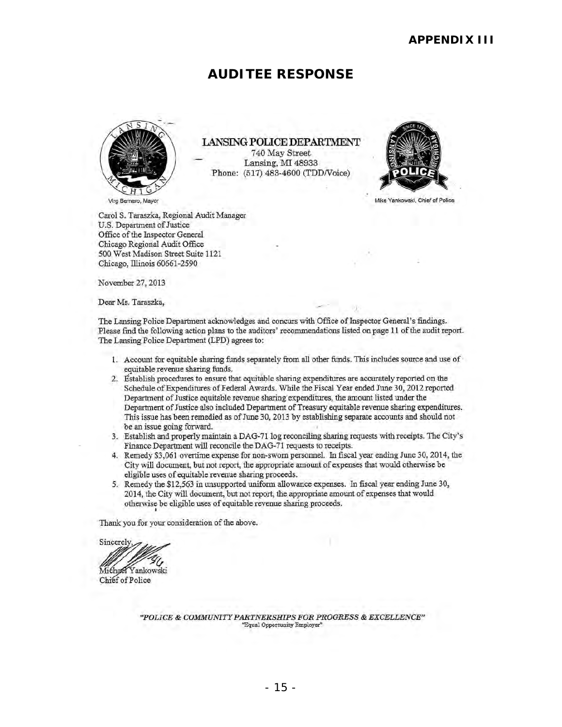### **AUDITEE RESPONSE**



LANSING POLICE DEPARTMENT 740 May Street Lansing, MI 48933 Phone: (517) 483·4600 (TDDNoice)



Carol S. Taraszka, Regional Audit Manager U.S. Department of Justice Office of the Inspector General Chicago Regional Audit Office 500 West Madison Street Suite 1121 Chicago, Illinois 60661 -2590

November 27, 2013

Dear Ms. Taraszka,

The Lansing Police Department acknowledges and concurs with Office of Inspector General's findings. Please find the following action plans to the auditors' recommendations listed on page 11 of the audit report.. The Lansing Police Department (LPD) agrees to:

- 1. Account for equitable sharing funds separately from all other funds. This includes source and use of equitable revenue sharing funds.
- 2. Establish procedures to ensure that equitable sharing expenditures are accurately reported on the Schedule of Expenditures of Federal Awards. While the Fiscal Year ended June 30, 2012 reported Department of Justice equitable revenue sharing expenditures, the amount listed under the Department of Justice also included Department of Treasury equitable revenue sharing expenditures. This issue has been remedied as of June 30, 2013 by establishing separate accounts and should not be an issue going forward.
- . 3. Establish and properly maintain a DAG-7l log reconciling sharing requests with receipts. The City'S Finance Department will reconcile the DAG-71 requests to receipts.
- 4. Remedy \$3,061 overtime expense for non-sworn personnel. In fiscal year ending June 30, 2014, the City will document, but not report, the appropriate amount of expenses that would otherwise be eligible uses of equitable revenue sharing proceeds.
- 5. Remedy the \$12,563 in unsupported uniform allowance expenses. In fiscal year ending June 30, 2014, the City will document, but not report, the appropriate amount of expenses that would otherwise be eligible uses of equitable revenue sharing proceeds . •

Thank you for your consideration of the above.

Sincerely<br>Michael Yankowski<br>Chief of Police

Chief of Police

*"POLICE* & *COMMUNITY PARTNERSHIPS FOR PROGRESS* & *EXCELLENCE"*  "Equal Opportunity Employer"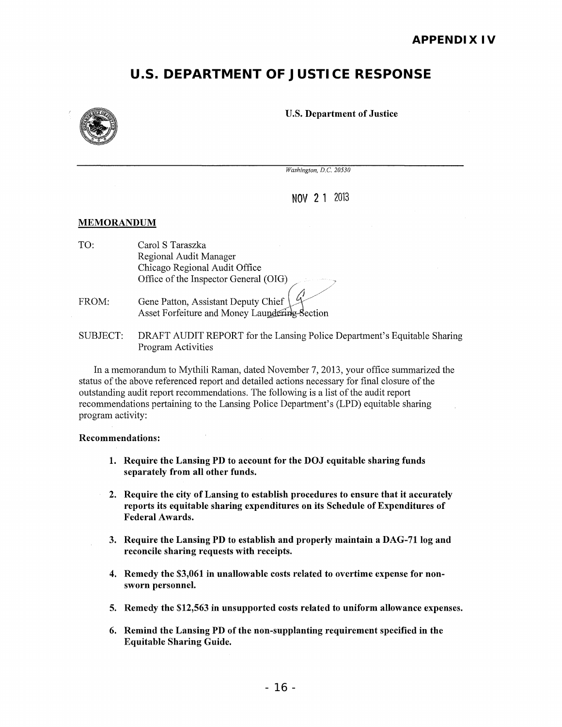## **U.S. DEPARTMENT OF JUSTICE RESPONSE**



#### U.S. Department of Justice

*Washington, D.C. 20530* 

NOV 2 1 2013

#### MEMORANDUM

- TO: Carol S Taraszka Regional Audit Manager Chicago Regional Audit Office Office of the Inspector General (OIG) <sup>~</sup>
- FROM: Gene Patton, Assistant Deputy Chief Asset Forfeiture and Money Laundering Section
- SUBJECT: DRAFT AUDIT REPORT for the Lansing Police Department's Equitable Sharing Program Activities

In a memorandum to Mythili Raman, dated November 7, 2013, your office summarized the status of the above referenced report and detailed actions necessary for final closure of the outstanding audit report recommendations. The following is a list of the audit report recommendations pertaining to the Lansing Police Department's (LPD) equitable sharing program activity:

#### Recommendations:

- 1. Require the Lansing PD to account for the DOJ equitable sharing funds separately from all other funds.
- 2. Require the city of Lansing to establish procedures to ensure that it accurately reports its equitable sharing expenditures on its Schedule of Expenditures of Federal Awards.
- 3. Require the Lansing PD to establish and properly maintain a DAG-71 log and reconcile sharing requests with receipts.
- 4. Remedy the \$3,061 in unallowable costs related to overtime expense for nonsworn personnel.
- 5. Remedy the \$12,563 in unsupported costs related to uniform allowance expenses.
- 6. Remind the Lansing PD of the non-supplanting requirement specified in the Equitable Sharing Guide.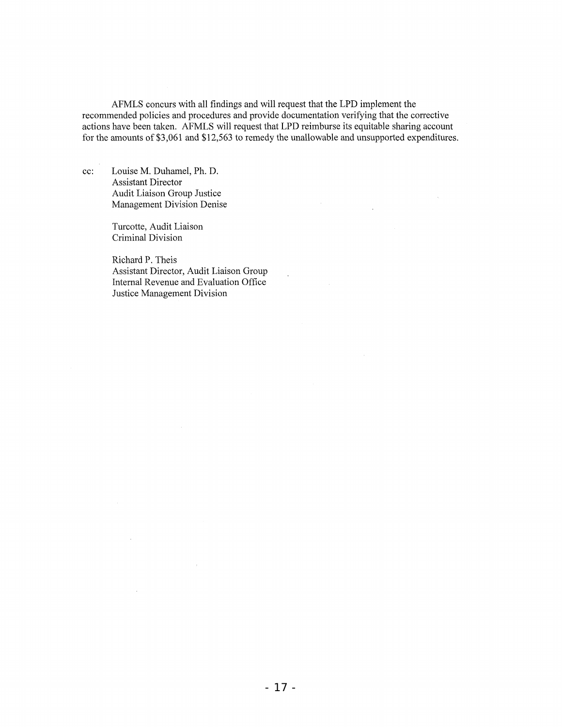AFMLS concurs with all findings and will request that the LPD implement the recommended policies and procedures and provide documentation verifying that the corrective actions have been taken. AFMLS will request that LPD reimburse its equitable sharing account for the amounts of \$3,061 and \$12,563 to remedy the unallowable and unsupported expenditures.

 $\ddot{\phantom{a}}$ 

cc: Louise M. Duhamel, Ph. D. Assistant Director Audit Liaison Group Justice Management Division Denise

> Turcotte, Audit Liaison Criminal Division

Richard P. Theis Assistant Director, Audit Liaison Group Internal Revenue and Evaluation Office Justice Management Division

 $\bar{z}$ 

 $\sim$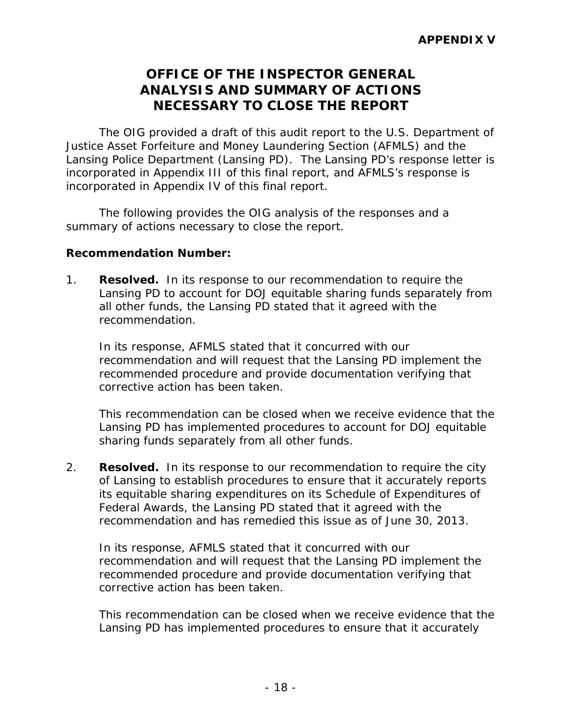### **ANALYSIS AND SUMMARY OF ACTIONS OFFICE OF THE INSPECTOR GENERAL NECESSARY TO CLOSE THE REPORT**

The OIG provided a draft of this audit report to the U.S. Department of Justice Asset Forfeiture and Money Laundering Section (AFMLS) and the Lansing Police Department (Lansing PD). The Lansing PD's response letter is incorporated in Appendix III of this final report, and AFMLS's response is incorporated in Appendix IV of this final report.

The following provides the OIG analysis of the responses and a summary of actions necessary to close the report.

#### **Recommendation Number:**

1. **Resolved.** In its response to our recommendation to require the Lansing PD to account for DOJ equitable sharing funds separately from all other funds, the Lansing PD stated that it agreed with the recommendation.

In its response, AFMLS stated that it concurred with our recommendation and will request that the Lansing PD implement the recommended procedure and provide documentation verifying that corrective action has been taken.

 This recommendation can be closed when we receive evidence that the Lansing PD has implemented procedures to account for DOJ equitable sharing funds separately from all other funds.

2. **Resolved.** In its response to our recommendation to require the city of Lansing to establish procedures to ensure that it accurately reports its equitable sharing expenditures on its Schedule of Expenditures of Federal Awards, the Lansing PD stated that it agreed with the recommendation and has remedied this issue as of June 30, 2013.

In its response, AFMLS stated that it concurred with our recommendation and will request that the Lansing PD implement the recommended procedure and provide documentation verifying that corrective action has been taken.

 This recommendation can be closed when we receive evidence that the Lansing PD has implemented procedures to ensure that it accurately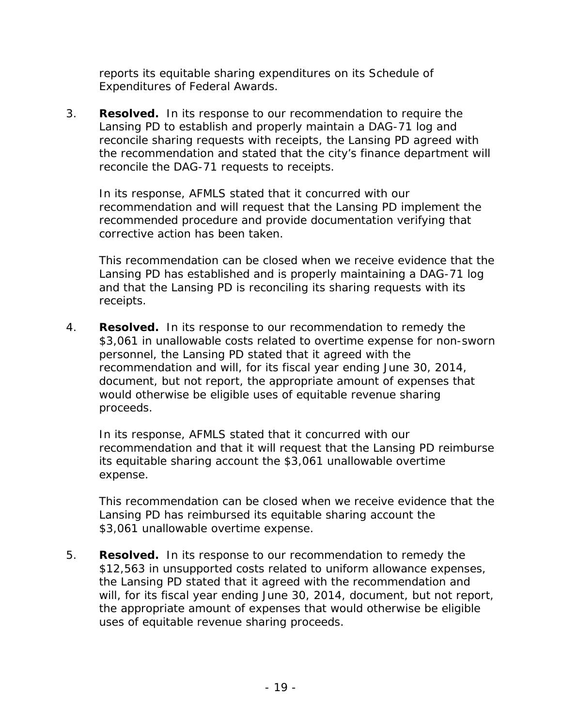reports its equitable sharing expenditures on its Schedule of Expenditures of Federal Awards.

 3. **Resolved.** In its response to our recommendation to require the Lansing PD to establish and properly maintain a DAG-71 log and reconcile sharing requests with receipts, the Lansing PD agreed with the recommendation and stated that the city's finance department will reconcile the DAG-71 requests to receipts.

In its response, AFMLS stated that it concurred with our recommendation and will request that the Lansing PD implement the recommended procedure and provide documentation verifying that corrective action has been taken.

 This recommendation can be closed when we receive evidence that the Lansing PD has established and is properly maintaining a DAG-71 log and that the Lansing PD is reconciling its sharing requests with its receipts.

 4. **Resolved.** In its response to our recommendation to remedy the \$3,061 in unallowable costs related to overtime expense for non-sworn personnel, the Lansing PD stated that it agreed with the recommendation and will, for its fiscal year ending June 30, 2014, document, but not report, the appropriate amount of expenses that would otherwise be eligible uses of equitable revenue sharing proceeds.

In its response, AFMLS stated that it concurred with our recommendation and that it will request that the Lansing PD reimburse its equitable sharing account the \$3,061 unallowable overtime expense.

 This recommendation can be closed when we receive evidence that the Lansing PD has reimbursed its equitable sharing account the \$3,061 unallowable overtime expense.

 5. **Resolved.** In its response to our recommendation to remedy the \$12,563 in unsupported costs related to uniform allowance expenses, the Lansing PD stated that it agreed with the recommendation and will, for its fiscal year ending June 30, 2014, document, but not report, the appropriate amount of expenses that would otherwise be eligible uses of equitable revenue sharing proceeds.